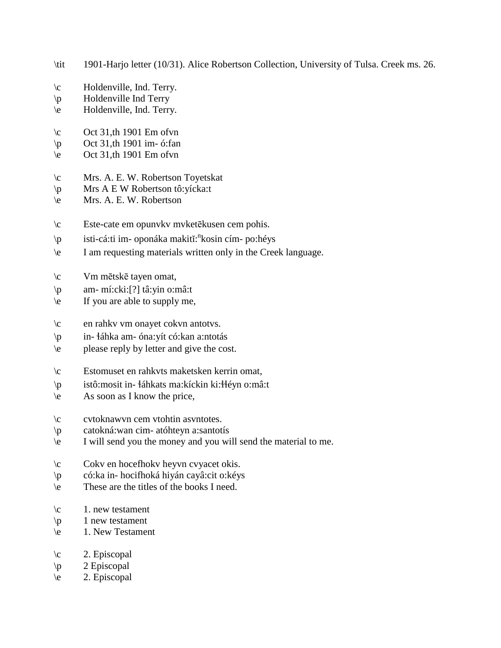- \tit 1901-Harjo letter (10/31). Alice Robertson Collection, University of Tulsa. Creek ms. 26.
- \c Holdenville, Ind. Terry.
- \p Holdenville Ind Terry
- \e Holdenville, Ind. Terry.
- $\c$  Oct 31,th 1901 Em of vn
- $\pi$  Oct 31,th 1901 im- ó:fan
- \e Oct 31,th 1901 Em ofvn
- \c Mrs. A. E. W. Robertson Toyetskat
- \p Mrs A E W Robertson tô:yícka:t
- \e Mrs. A. E. W. Robertson
- \c Este-cate em opunvkv mvketēkusen cem pohis.
- \p isti-cá:ti im- oponáka makitĭ: n kosin cím- po:héys
- \e I am requesting materials written only in the Creek language.
- \c Vm mētskē tayen omat,
- \p am- mí:cki:[?] tâ:yin o:mâ:t
- \e If you are able to supply me,
- \c en rahkv vm onayet cokvn antotvs.
- \p in- !áhka am- óna:yít có:kan a:ntotás
- \e please reply by letter and give the cost.
- \c Estomuset en rahkvts maketsken kerrin omat,
- \p istô:mosit in- !áhkats ma:kíckin ki:!!éyn o:mâ:t
- \e As soon as I know the price,
- \c cvtoknawvn cem vtohtin asvntotes.
- \p catokná:wan cim- atóhteyn a:santotís
- \e I will send you the money and you will send the material to me.
- \c Cokv en hocefhokv heyvn cvyacet okis.
- \p có:ka in- hocifhoká hiyán cayâ:cit o:kéys
- \e These are the titles of the books I need.
- $\c$  1. new testament
- $\pi$  1 new testament
- \e 1. New Testament
- $\c$  2. Episcopal
- $\pmb{\downarrow}$  2 Episcopal
- $\e$  2. Episcopal